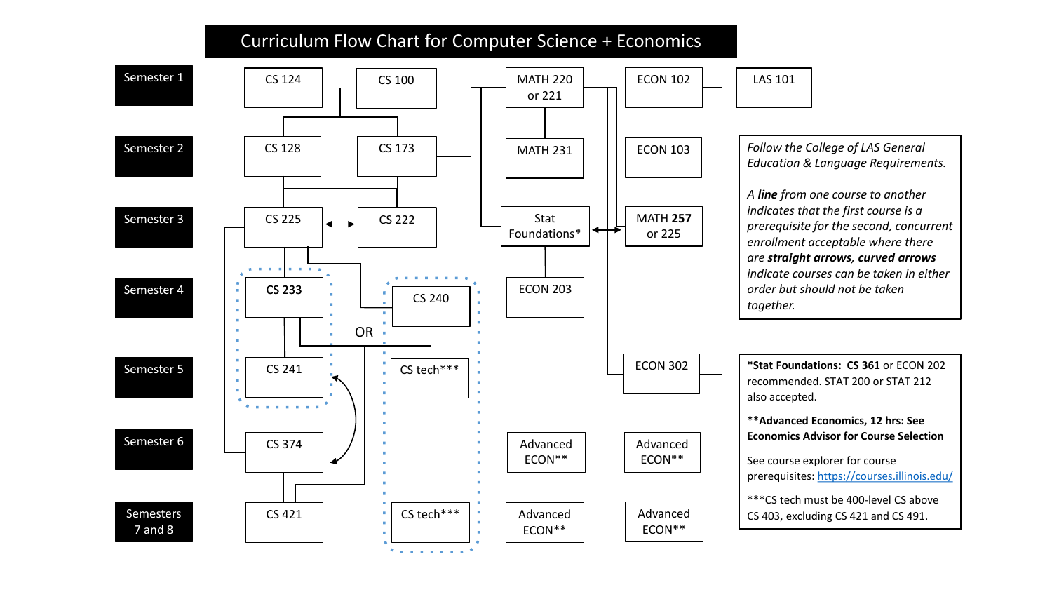## Curriculum Flow Chart for Computer Science + Economics